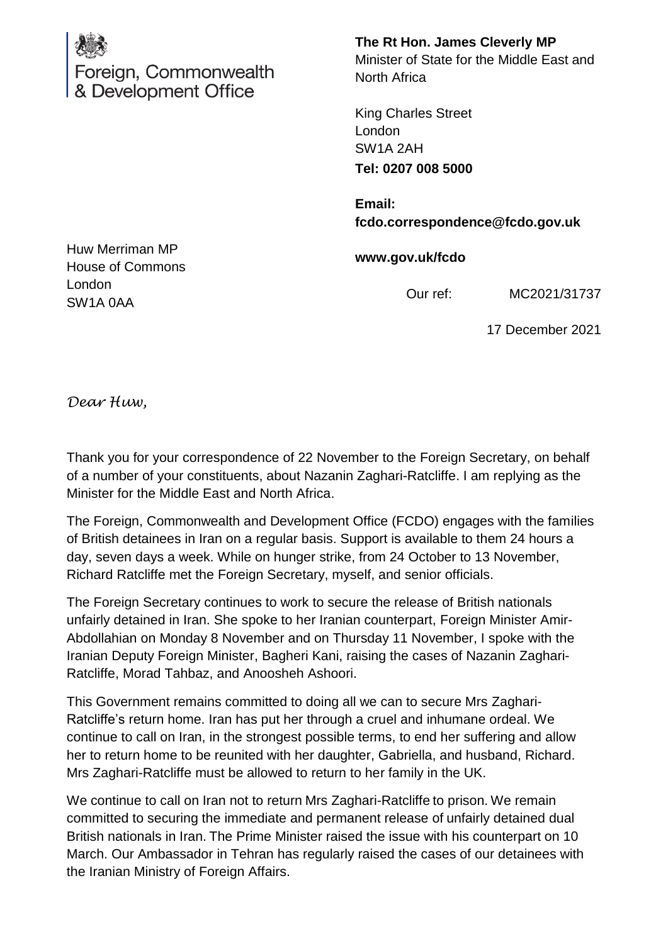

**The Rt Hon. James Cleverly MP** Minister of State for the Middle East and North Africa

King Charles Street London SW1A 2AH **Tel: 0207 008 5000**

**Email: fcdo.correspondence@fcdo.gov.uk**

**www.gov.uk/fcdo**

Our ref: MC2021/31737

17 December 2021

Huw Merriman MP House of Commons London SW1A 0AA

*Dear Huw,*

Thank you for your correspondence of 22 November to the Foreign Secretary, on behalf of a number of your constituents, about Nazanin Zaghari-Ratcliffe. I am replying as the Minister for the Middle East and North Africa.

The Foreign, Commonwealth and Development Office (FCDO) engages with the families of British detainees in Iran on a regular basis. Support is available to them 24 hours a day, seven days a week. While on hunger strike, from 24 October to 13 November, Richard Ratcliffe met the Foreign Secretary, myself, and senior officials.

The Foreign Secretary continues to work to secure the release of British nationals unfairly detained in Iran. She spoke to her Iranian counterpart, Foreign Minister Amir-Abdollahian on Monday 8 November and on Thursday 11 November, I spoke with the Iranian Deputy Foreign Minister, Bagheri Kani, raising the cases of Nazanin Zaghari-Ratcliffe, Morad Tahbaz, and Anoosheh Ashoori.

This Government remains committed to doing all we can to secure Mrs Zaghari-Ratcliffe's return home. Iran has put her through a cruel and inhumane ordeal. We continue to call on Iran, in the strongest possible terms, to end her suffering and allow her to return home to be reunited with her daughter, Gabriella, and husband, Richard. Mrs Zaghari-Ratcliffe must be allowed to return to her family in the UK.

We continue to call on Iran not to return Mrs Zaghari-Ratcliffe to prison. We remain committed to securing the immediate and permanent release of unfairly detained dual British nationals in Iran. The Prime Minister raised the issue with his counterpart on 10 March. Our Ambassador in Tehran has regularly raised the cases of our detainees with the Iranian Ministry of Foreign Affairs.